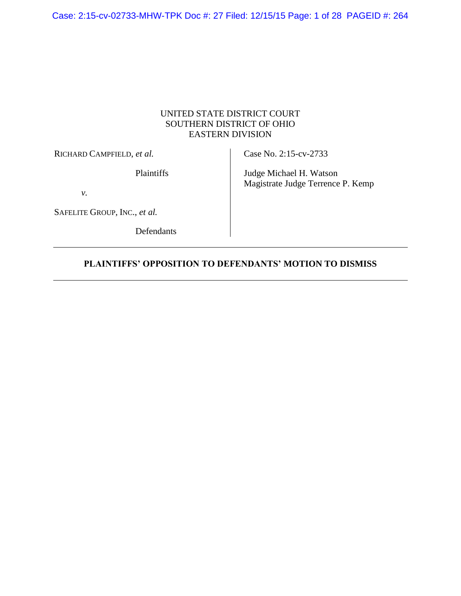Case: 2:15-cv-02733-MHW-TPK Doc #: 27 Filed: 12/15/15 Page: 1 of 28 PAGEID #: 264

## UNITED STATE DISTRICT COURT SOUTHERN DISTRICT OF OHIO EASTERN DIVISION

RICHARD CAMPFIELD, *et al.*

Plaintiffs

*v.*

SAFELITE GROUP, INC., *et al.*

Defendants

Case No. 2:15-cv-2733

Judge Michael H. Watson Magistrate Judge Terrence P. Kemp

## **PLAINTIFFS' OPPOSITION TO DEFENDANTS' MOTION TO DISMISS**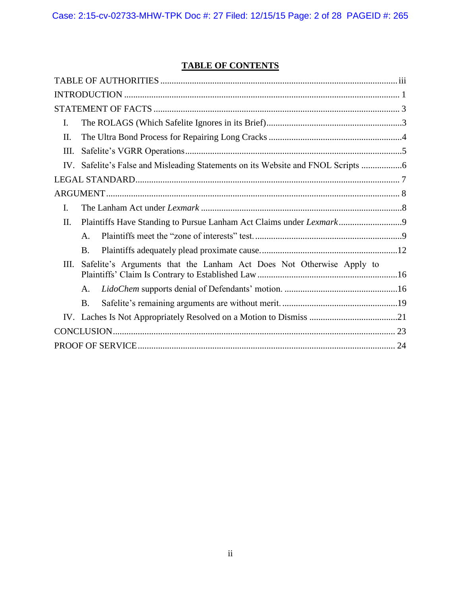# **TABLE OF CONTENTS**

| I.   |                                                                      |  |  |
|------|----------------------------------------------------------------------|--|--|
| II.  |                                                                      |  |  |
| Ш.   |                                                                      |  |  |
|      |                                                                      |  |  |
|      |                                                                      |  |  |
|      |                                                                      |  |  |
| I.   |                                                                      |  |  |
| II.  |                                                                      |  |  |
|      | $\mathsf{A}$ .                                                       |  |  |
|      | <b>B.</b>                                                            |  |  |
| III. | Safelite's Arguments that the Lanham Act Does Not Otherwise Apply to |  |  |
|      | A.                                                                   |  |  |
|      | <b>B.</b>                                                            |  |  |
|      |                                                                      |  |  |
|      |                                                                      |  |  |
|      |                                                                      |  |  |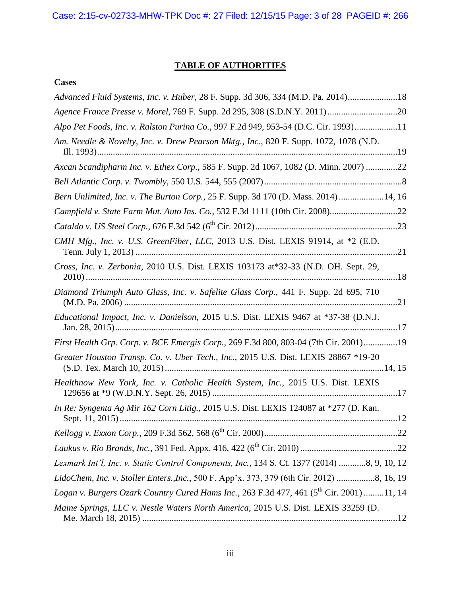# **TABLE OF AUTHORITIES**

<span id="page-2-0"></span>

|--|

| Advanced Fluid Systems, Inc. v. Huber, 28 F. Supp. 3d 306, 334 (M.D. Pa. 2014)18                     |
|------------------------------------------------------------------------------------------------------|
|                                                                                                      |
| Alpo Pet Foods, Inc. v. Ralston Purina Co., 997 F.2d 949, 953-54 (D.C. Cir. 1993)11                  |
| Am. Needle & Novelty, Inc. v. Drew Pearson Mktg., Inc., 820 F. Supp. 1072, 1078 (N.D.                |
| Axcan Scandipharm Inc. v. Ethex Corp., 585 F. Supp. 2d 1067, 1082 (D. Minn. 2007) 22                 |
|                                                                                                      |
| Bern Unlimited, Inc. v. The Burton Corp., 25 F. Supp. 3d 170 (D. Mass. 2014) 14, 16                  |
| Campfield v. State Farm Mut. Auto Ins. Co., 532 F.3d 1111 (10th Cir. 2008)22                         |
|                                                                                                      |
| CMH Mfg., Inc. v. U.S. GreenFiber, LLC, 2013 U.S. Dist. LEXIS 91914, at *2 (E.D.                     |
| Cross, Inc. v. Zerbonia, 2010 U.S. Dist. LEXIS 103173 at*32-33 (N.D. OH. Sept. 29,                   |
| Diamond Triumph Auto Glass, Inc. v. Safelite Glass Corp., 441 F. Supp. 2d 695, 710                   |
| Educational Impact, Inc. v. Danielson, 2015 U.S. Dist. LEXIS 9467 at *37-38 (D.N.J.                  |
| First Health Grp. Corp. v. BCE Emergis Corp., 269 F.3d 800, 803-04 (7th Cir. 2001)19                 |
| Greater Houston Transp. Co. v. Uber Tech., Inc., 2015 U.S. Dist. LEXIS 28867 *19-20                  |
| Healthnow New York, Inc. v. Catholic Health System, Inc., 2015 U.S. Dist. LEXIS                      |
| In Re: Syngenta Ag Mir 162 Corn Litig., 2015 U.S. Dist. LEXIS 124087 at *277 (D. Kan.                |
|                                                                                                      |
|                                                                                                      |
| Lexmark Int'l, Inc. v. Static Control Components, Inc., 134 S. Ct. 1377 (2014) 8, 9, 10, 12          |
| LidoChem, Inc. v. Stoller Enters., Inc., 500 F. App'x. 373, 379 (6th Cir. 2012) 8, 16, 19            |
| Logan v. Burgers Ozark Country Cured Hams Inc., 263 F.3d 477, 461 (5 <sup>th</sup> Cir. 2001) 11, 14 |
| Maine Springs, LLC v. Nestle Waters North America, 2015 U.S. Dist. LEXIS 33259 (D.                   |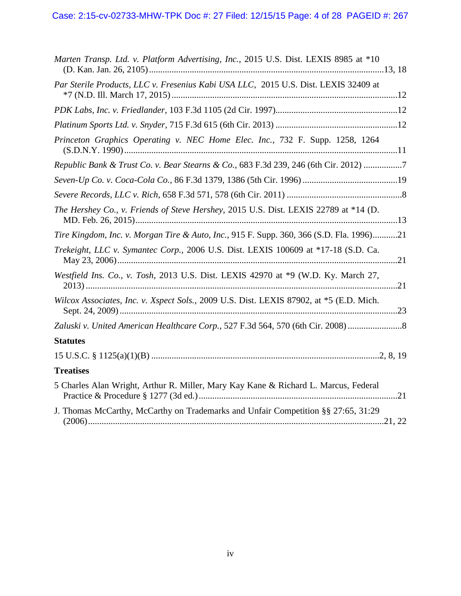| Marten Transp. Ltd. v. Platform Advertising, Inc., 2015 U.S. Dist. LEXIS 8985 at *10     |
|------------------------------------------------------------------------------------------|
| Par Sterile Products, LLC v. Fresenius Kabi USA LLC, 2015 U.S. Dist. LEXIS 32409 at      |
|                                                                                          |
|                                                                                          |
| Princeton Graphics Operating v. NEC Home Elec. Inc., 732 F. Supp. 1258, 1264             |
| Republic Bank & Trust Co. v. Bear Stearns & Co., 683 F.3d 239, 246 (6th Cir. 2012) 7     |
|                                                                                          |
|                                                                                          |
| The Hershey Co., v. Friends of Steve Hershey, 2015 U.S. Dist. LEXIS 22789 at *14 (D.     |
| Tire Kingdom, Inc. v. Morgan Tire & Auto, Inc., 915 F. Supp. 360, 366 (S.D. Fla. 1996)21 |
| Trekeight, LLC v. Symantec Corp., 2006 U.S. Dist. LEXIS 100609 at *17-18 (S.D. Ca.       |
| Westfield Ins. Co., v. Tosh, 2013 U.S. Dist. LEXIS 42970 at *9 (W.D. Ky. March 27,       |
| Wilcox Associates, Inc. v. Xspect Sols., 2009 U.S. Dist. LEXIS 87902, at *5 (E.D. Mich.  |
| Zaluski v. United American Healthcare Corp., 527 F.3d 564, 570 (6th Cir. 2008)           |
| <b>Statutes</b>                                                                          |
|                                                                                          |
| <b>Treatises</b>                                                                         |
| 5 Charles Alan Wright, Arthur R. Miller, Mary Kay Kane & Richard L. Marcus, Federal      |
| J. Thomas McCarthy, McCarthy on Trademarks and Unfair Competition §§ 27:65, 31:29        |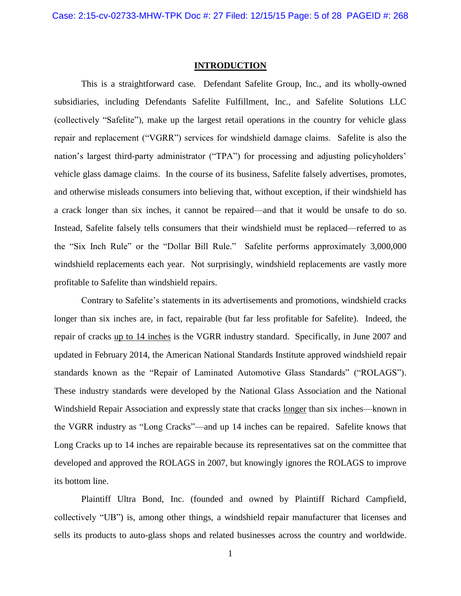#### **INTRODUCTION**

<span id="page-4-0"></span>This is a straightforward case. Defendant Safelite Group, Inc., and its wholly-owned subsidiaries, including Defendants Safelite Fulfillment, Inc., and Safelite Solutions LLC (collectively "Safelite"), make up the largest retail operations in the country for vehicle glass repair and replacement ("VGRR") services for windshield damage claims. Safelite is also the nation's largest third-party administrator ("TPA") for processing and adjusting policyholders' vehicle glass damage claims. In the course of its business, Safelite falsely advertises, promotes, and otherwise misleads consumers into believing that, without exception, if their windshield has a crack longer than six inches, it cannot be repaired—and that it would be unsafe to do so. Instead, Safelite falsely tells consumers that their windshield must be replaced—referred to as the "Six Inch Rule" or the "Dollar Bill Rule." Safelite performs approximately 3,000,000 windshield replacements each year. Not surprisingly, windshield replacements are vastly more profitable to Safelite than windshield repairs.

Contrary to Safelite's statements in its advertisements and promotions, windshield cracks longer than six inches are, in fact, repairable (but far less profitable for Safelite). Indeed, the repair of cracks up to 14 inches is the VGRR industry standard. Specifically, in June 2007 and updated in February 2014, the American National Standards Institute approved windshield repair standards known as the "Repair of Laminated Automotive Glass Standards" ("ROLAGS"). These industry standards were developed by the National Glass Association and the National Windshield Repair Association and expressly state that cracks longer than six inches—known in the VGRR industry as "Long Cracks"—and up 14 inches can be repaired. Safelite knows that Long Cracks up to 14 inches are repairable because its representatives sat on the committee that developed and approved the ROLAGS in 2007, but knowingly ignores the ROLAGS to improve its bottom line.

Plaintiff Ultra Bond, Inc. (founded and owned by Plaintiff Richard Campfield, collectively "UB") is, among other things, a windshield repair manufacturer that licenses and sells its products to auto-glass shops and related businesses across the country and worldwide.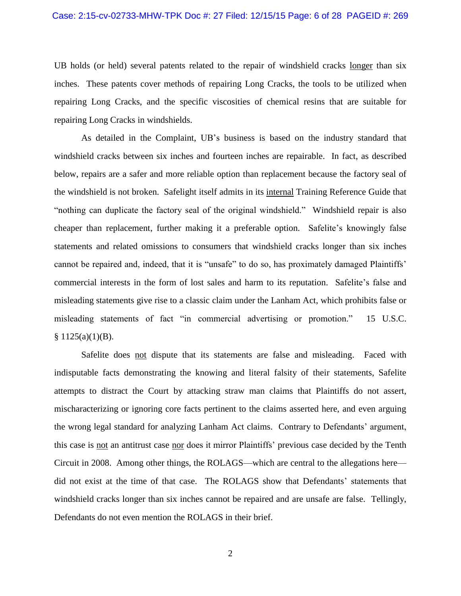UB holds (or held) several patents related to the repair of windshield cracks longer than six inches. These patents cover methods of repairing Long Cracks, the tools to be utilized when repairing Long Cracks, and the specific viscosities of chemical resins that are suitable for repairing Long Cracks in windshields.

As detailed in the Complaint, UB's business is based on the industry standard that windshield cracks between six inches and fourteen inches are repairable. In fact, as described below, repairs are a safer and more reliable option than replacement because the factory seal of the windshield is not broken. Safelight itself admits in its internal Training Reference Guide that "nothing can duplicate the factory seal of the original windshield." Windshield repair is also cheaper than replacement, further making it a preferable option. Safelite's knowingly false statements and related omissions to consumers that windshield cracks longer than six inches cannot be repaired and, indeed, that it is "unsafe" to do so, has proximately damaged Plaintiffs' commercial interests in the form of lost sales and harm to its reputation. Safelite's false and misleading statements give rise to a classic claim under the Lanham Act, which prohibits false or misleading statements of fact "in commercial advertising or promotion." 15 U.S.C.  $§ 1125(a)(1)(B).$ 

Safelite does not dispute that its statements are false and misleading. Faced with indisputable facts demonstrating the knowing and literal falsity of their statements, Safelite attempts to distract the Court by attacking straw man claims that Plaintiffs do not assert, mischaracterizing or ignoring core facts pertinent to the claims asserted here, and even arguing the wrong legal standard for analyzing Lanham Act claims. Contrary to Defendants' argument, this case is not an antitrust case nor does it mirror Plaintiffs' previous case decided by the Tenth Circuit in 2008. Among other things, the ROLAGS—which are central to the allegations here did not exist at the time of that case. The ROLAGS show that Defendants' statements that windshield cracks longer than six inches cannot be repaired and are unsafe are false. Tellingly, Defendants do not even mention the ROLAGS in their brief.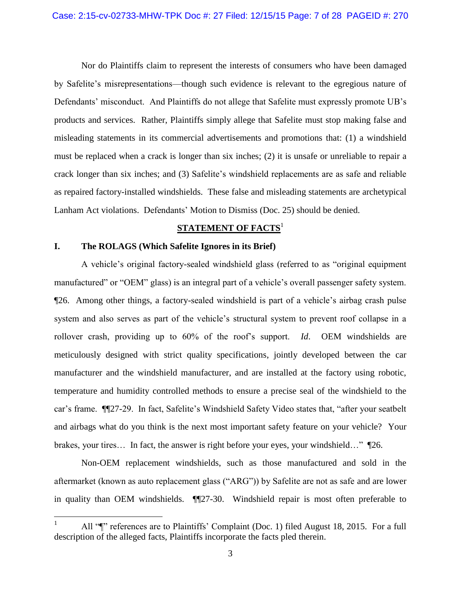Nor do Plaintiffs claim to represent the interests of consumers who have been damaged by Safelite's misrepresentations—though such evidence is relevant to the egregious nature of Defendants' misconduct. And Plaintiffs do not allege that Safelite must expressly promote UB's products and services. Rather, Plaintiffs simply allege that Safelite must stop making false and misleading statements in its commercial advertisements and promotions that: (1) a windshield must be replaced when a crack is longer than six inches; (2) it is unsafe or unreliable to repair a crack longer than six inches; and (3) Safelite's windshield replacements are as safe and reliable as repaired factory-installed windshields. These false and misleading statements are archetypical Lanham Act violations. Defendants' Motion to Dismiss (Doc. 25) should be denied.

## **STATEMENT OF FACTS**<sup>1</sup>

## <span id="page-6-1"></span><span id="page-6-0"></span>**I. The ROLAGS (Which Safelite Ignores in its Brief)**

 $\overline{a}$ 

A vehicle's original factory-sealed windshield glass (referred to as "original equipment manufactured" or "OEM" glass) is an integral part of a vehicle's overall passenger safety system. ¶26. Among other things, a factory-sealed windshield is part of a vehicle's airbag crash pulse system and also serves as part of the vehicle's structural system to prevent roof collapse in a rollover crash, providing up to 60% of the roof's support. *Id*. OEM windshields are meticulously designed with strict quality specifications, jointly developed between the car manufacturer and the windshield manufacturer, and are installed at the factory using robotic, temperature and humidity controlled methods to ensure a precise seal of the windshield to the car's frame. ¶¶27-29. In fact, Safelite's Windshield Safety Video states that, "after your seatbelt and airbags what do you think is the next most important safety feature on your vehicle? Your brakes, your tires… In fact, the answer is right before your eyes, your windshield…" ¶26.

Non-OEM replacement windshields, such as those manufactured and sold in the aftermarket (known as auto replacement glass ("ARG")) by Safelite are not as safe and are lower in quality than OEM windshields. ¶¶27-30. Windshield repair is most often preferable to

All " $\mathbb{I}$ " references are to Plaintiffs' Complaint (Doc. 1) filed August 18, 2015. For a full description of the alleged facts, Plaintiffs incorporate the facts pled therein.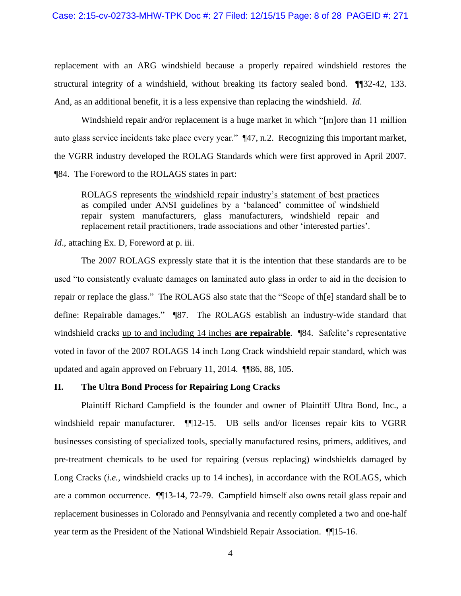replacement with an ARG windshield because a properly repaired windshield restores the structural integrity of a windshield, without breaking its factory sealed bond. ¶¶32-42, 133. And, as an additional benefit, it is a less expensive than replacing the windshield. *Id*.

Windshield repair and/or replacement is a huge market in which "[m]ore than 11 million auto glass service incidents take place every year." ¶47, n.2. Recognizing this important market, the VGRR industry developed the ROLAG Standards which were first approved in April 2007. ¶84. The Foreword to the ROLAGS states in part:

ROLAGS represents the windshield repair industry's statement of best practices as compiled under ANSI guidelines by a 'balanced' committee of windshield repair system manufacturers, glass manufacturers, windshield repair and replacement retail practitioners, trade associations and other 'interested parties'.

#### *Id.*, attaching Ex. D, Foreword at p. iii.

The 2007 ROLAGS expressly state that it is the intention that these standards are to be used "to consistently evaluate damages on laminated auto glass in order to aid in the decision to repair or replace the glass." The ROLAGS also state that the "Scope of th[e] standard shall be to define: Repairable damages." ¶87. The ROLAGS establish an industry-wide standard that windshield cracks up to and including 14 inches **are repairable**. ¶84. Safelite's representative voted in favor of the 2007 ROLAGS 14 inch Long Crack windshield repair standard, which was updated and again approved on February 11, 2014. ¶¶86, 88, 105.

## <span id="page-7-0"></span>**II. The Ultra Bond Process for Repairing Long Cracks**

Plaintiff Richard Campfield is the founder and owner of Plaintiff Ultra Bond, Inc., a windshield repair manufacturer.  $\P$ [12-15. UB sells and/or licenses repair kits to VGRR businesses consisting of specialized tools, specially manufactured resins, primers, additives, and pre-treatment chemicals to be used for repairing (versus replacing) windshields damaged by Long Cracks *(<i>i.e.,* windshield cracks up to 14 inches), in accordance with the ROLAGS, which are a common occurrence. ¶¶13-14, 72-79. Campfield himself also owns retail glass repair and replacement businesses in Colorado and Pennsylvania and recently completed a two and one-half year term as the President of the National Windshield Repair Association. ¶¶15-16.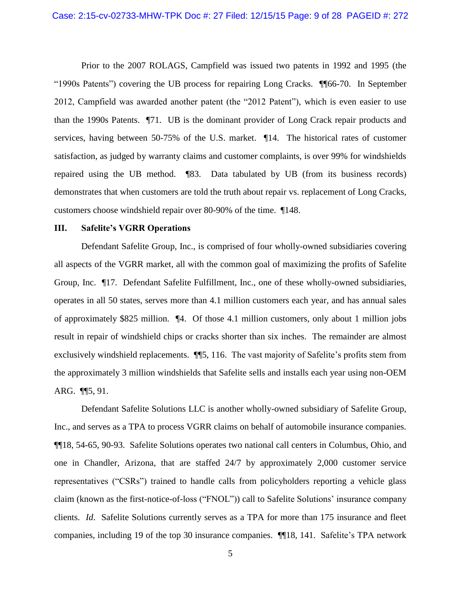Prior to the 2007 ROLAGS, Campfield was issued two patents in 1992 and 1995 (the "1990s Patents") covering the UB process for repairing Long Cracks. ¶¶66-70. In September 2012, Campfield was awarded another patent (the "2012 Patent"), which is even easier to use than the 1990s Patents. ¶71. UB is the dominant provider of Long Crack repair products and services, having between 50-75% of the U.S. market. ¶14. The historical rates of customer satisfaction, as judged by warranty claims and customer complaints, is over 99% for windshields repaired using the UB method. ¶83. Data tabulated by UB (from its business records) demonstrates that when customers are told the truth about repair vs. replacement of Long Cracks, customers choose windshield repair over 80-90% of the time. ¶148.

#### <span id="page-8-0"></span>**III. Safelite's VGRR Operations**

Defendant Safelite Group, Inc., is comprised of four wholly-owned subsidiaries covering all aspects of the VGRR market, all with the common goal of maximizing the profits of Safelite Group, Inc. ¶17. Defendant Safelite Fulfillment, Inc., one of these wholly-owned subsidiaries, operates in all 50 states, serves more than 4.1 million customers each year, and has annual sales of approximately \$825 million. ¶4. Of those 4.1 million customers, only about 1 million jobs result in repair of windshield chips or cracks shorter than six inches. The remainder are almost exclusively windshield replacements. ¶¶5, 116. The vast majority of Safelite's profits stem from the approximately 3 million windshields that Safelite sells and installs each year using non-OEM ARG. ¶¶5, 91.

Defendant Safelite Solutions LLC is another wholly-owned subsidiary of Safelite Group, Inc., and serves as a TPA to process VGRR claims on behalf of automobile insurance companies. ¶¶18, 54-65, 90-93. Safelite Solutions operates two national call centers in Columbus, Ohio, and one in Chandler, Arizona, that are staffed 24/7 by approximately 2,000 customer service representatives ("CSRs") trained to handle calls from policyholders reporting a vehicle glass claim (known as the first-notice-of-loss ("FNOL")) call to Safelite Solutions' insurance company clients. *Id*. Safelite Solutions currently serves as a TPA for more than 175 insurance and fleet companies, including 19 of the top 30 insurance companies. ¶¶18, 141. Safelite's TPA network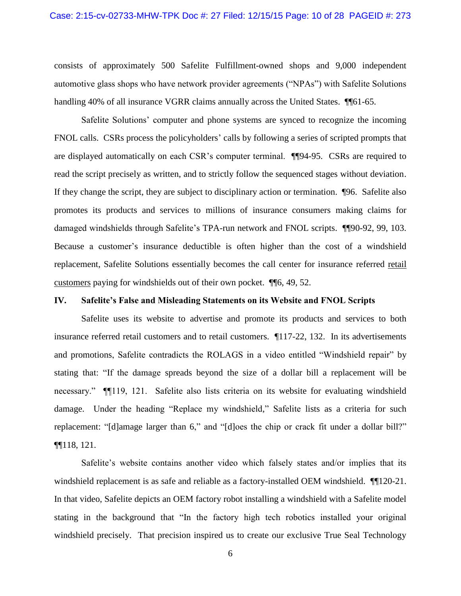consists of approximately 500 Safelite Fulfillment-owned shops and 9,000 independent automotive glass shops who have network provider agreements ("NPAs") with Safelite Solutions handling 40% of all insurance VGRR claims annually across the United States. ¶ [61-65.

Safelite Solutions' computer and phone systems are synced to recognize the incoming FNOL calls. CSRs process the policyholders' calls by following a series of scripted prompts that are displayed automatically on each CSR's computer terminal. ¶¶94-95. CSRs are required to read the script precisely as written, and to strictly follow the sequenced stages without deviation. If they change the script, they are subject to disciplinary action or termination. ¶96. Safelite also promotes its products and services to millions of insurance consumers making claims for damaged windshields through Safelite's TPA-run network and FNOL scripts. ¶¶90-92, 99, 103. Because a customer's insurance deductible is often higher than the cost of a windshield replacement, Safelite Solutions essentially becomes the call center for insurance referred retail customers paying for windshields out of their own pocket. ¶¶6, 49, 52.

#### <span id="page-9-0"></span>**IV. Safelite's False and Misleading Statements on its Website and FNOL Scripts**

Safelite uses its website to advertise and promote its products and services to both insurance referred retail customers and to retail customers. ¶117-22, 132. In its advertisements and promotions, Safelite contradicts the ROLAGS in a video entitled "Windshield repair" by stating that: "If the damage spreads beyond the size of a dollar bill a replacement will be necessary." ¶¶119, 121. Safelite also lists criteria on its website for evaluating windshield damage. Under the heading "Replace my windshield," Safelite lists as a criteria for such replacement: "[d]amage larger than 6," and "[d]oes the chip or crack fit under a dollar bill?" ¶¶118, 121.

Safelite's website contains another video which falsely states and/or implies that its windshield replacement is as safe and reliable as a factory-installed OEM windshield.  $\P$ [120-21. In that video, Safelite depicts an OEM factory robot installing a windshield with a Safelite model stating in the background that "In the factory high tech robotics installed your original windshield precisely. That precision inspired us to create our exclusive True Seal Technology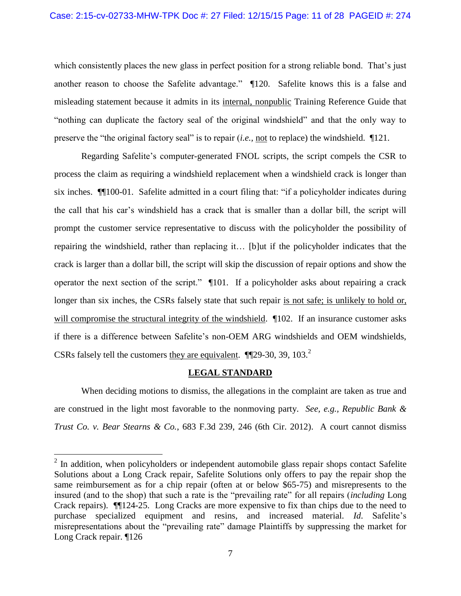which consistently places the new glass in perfect position for a strong reliable bond. That's just another reason to choose the Safelite advantage." ¶120. Safelite knows this is a false and misleading statement because it admits in its internal, nonpublic Training Reference Guide that "nothing can duplicate the factory seal of the original windshield" and that the only way to preserve the "the original factory seal" is to repair (*i.e.,* not to replace) the windshield. ¶121.

Regarding Safelite's computer-generated FNOL scripts, the script compels the CSR to process the claim as requiring a windshield replacement when a windshield crack is longer than six inches. ¶¶100-01. Safelite admitted in a court filing that: "if a policyholder indicates during the call that his car's windshield has a crack that is smaller than a dollar bill, the script will prompt the customer service representative to discuss with the policyholder the possibility of repairing the windshield, rather than replacing it… [b]ut if the policyholder indicates that the crack is larger than a dollar bill, the script will skip the discussion of repair options and show the operator the next section of the script." ¶101. If a policyholder asks about repairing a crack longer than six inches, the CSRs falsely state that such repair is not safe; is unlikely to hold or, will compromise the structural integrity of the windshield.  $\P$ 102. If an insurance customer asks if there is a difference between Safelite's non-OEM ARG windshields and OEM windshields, CSRs falsely tell the customers they are equivalent.  $\P$ [29-30, 39, 103.<sup>2</sup>]

#### **LEGAL STANDARD**

<span id="page-10-0"></span>When deciding motions to dismiss, the allegations in the complaint are taken as true and are construed in the light most favorable to the nonmoving party. *See, e.g., Republic Bank & Trust Co. v. Bear Stearns & Co.*, 683 F.3d 239, 246 (6th Cir. 2012). A court cannot dismiss

<sup>&</sup>lt;sup>2</sup> In addition, when policyholders or independent automobile glass repair shops contact Safelite Solutions about a Long Crack repair, Safelite Solutions only offers to pay the repair shop the same reimbursement as for a chip repair (often at or below \$65-75) and misrepresents to the insured (and to the shop) that such a rate is the "prevailing rate" for all repairs (*including* Long Crack repairs). ¶¶124-25. Long Cracks are more expensive to fix than chips due to the need to purchase specialized equipment and resins, and increased material. *Id*. Safelite's misrepresentations about the "prevailing rate" damage Plaintiffs by suppressing the market for Long Crack repair. ¶126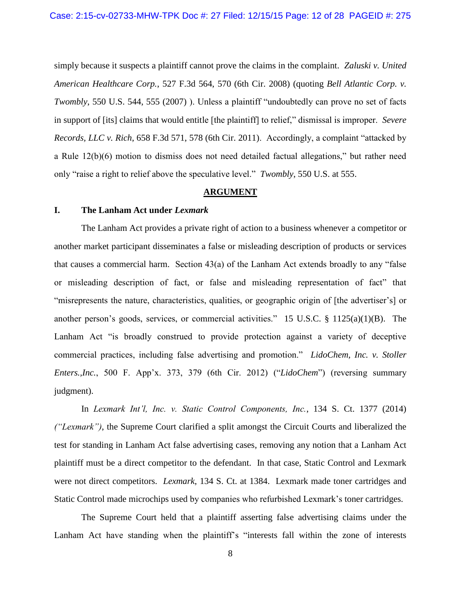simply because it suspects a plaintiff cannot prove the claims in the complaint. *Zaluski v. United American Healthcare Corp.*, 527 F.3d 564, 570 (6th Cir. 2008) (quoting *Bell Atlantic Corp. v. Twombly*, 550 U.S. 544, 555 (2007) ). Unless a plaintiff "undoubtedly can prove no set of facts in support of [its] claims that would entitle [the plaintiff] to relief," dismissal is improper. *Severe Records, LLC v. Rich*, 658 F.3d 571, 578 (6th Cir. 2011). Accordingly, a complaint "attacked by a Rule 12(b)(6) motion to dismiss does not need detailed factual allegations," but rather need only "raise a right to relief above the speculative level." *Twombly*, 550 U.S. at 555.

### **ARGUMENT**

#### <span id="page-11-1"></span><span id="page-11-0"></span>**I. The Lanham Act under** *Lexmark*

The Lanham Act provides a private right of action to a business whenever a competitor or another market participant disseminates a false or misleading description of products or services that causes a commercial harm. Section 43(a) of the Lanham Act extends broadly to any "false or misleading description of fact, or false and misleading representation of fact" that "misrepresents the nature, characteristics, qualities, or geographic origin of [the advertiser's] or another person's goods, services, or commercial activities." 15 U.S.C. § 1125(a)(1)(B). The Lanham Act "is broadly construed to provide protection against a variety of deceptive commercial practices, including false advertising and promotion." *LidoChem, Inc. v. Stoller Enters.,Inc.*, 500 F. App'x. 373, 379 (6th Cir. 2012) ("*LidoChem*") (reversing summary judgment).

In *Lexmark Int'l, Inc. v. Static Control Components, Inc.*, 134 S. Ct. 1377 (2014) *("Lexmark")*, the Supreme Court clarified a split amongst the Circuit Courts and liberalized the test for standing in Lanham Act false advertising cases, removing any notion that a Lanham Act plaintiff must be a direct competitor to the defendant. In that case, Static Control and Lexmark were not direct competitors. *Lexmark*, 134 S. Ct. at 1384. Lexmark made toner cartridges and Static Control made microchips used by companies who refurbished Lexmark's toner cartridges.

The Supreme Court held that a plaintiff asserting false advertising claims under the Lanham Act have standing when the plaintiff's "interests fall within the zone of interests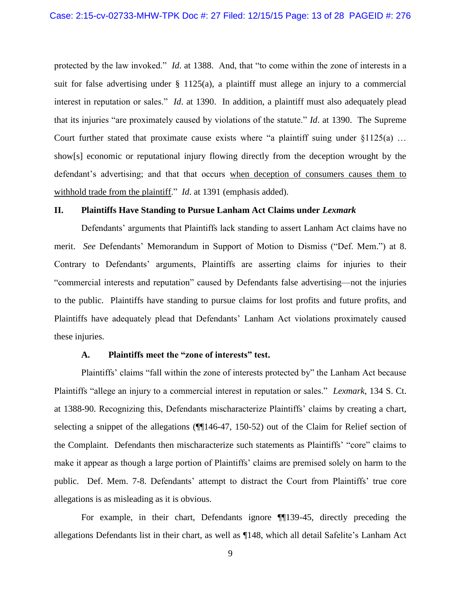protected by the law invoked." *Id*. at 1388. And, that "to come within the zone of interests in a suit for false advertising under  $\S$  1125(a), a plaintiff must allege an injury to a commercial interest in reputation or sales." *Id*. at 1390. In addition, a plaintiff must also adequately plead that its injuries "are proximately caused by violations of the statute." *Id*. at 1390. The Supreme Court further stated that proximate cause exists where "a plaintiff suing under  $\S1125(a)$  ... show[s] economic or reputational injury flowing directly from the deception wrought by the defendant's advertising; and that that occurs when deception of consumers causes them to withhold trade from the plaintiff." *Id*. at 1391 (emphasis added).

#### <span id="page-12-0"></span>**II. Plaintiffs Have Standing to Pursue Lanham Act Claims under** *Lexmark*

Defendants' arguments that Plaintiffs lack standing to assert Lanham Act claims have no merit. *See* Defendants' Memorandum in Support of Motion to Dismiss ("Def. Mem.") at 8. Contrary to Defendants' arguments, Plaintiffs are asserting claims for injuries to their "commercial interests and reputation" caused by Defendants false advertising—not the injuries to the public. Plaintiffs have standing to pursue claims for lost profits and future profits, and Plaintiffs have adequately plead that Defendants' Lanham Act violations proximately caused these injuries.

#### **A. Plaintiffs meet the "zone of interests" test.**

<span id="page-12-1"></span>Plaintiffs' claims "fall within the zone of interests protected by" the Lanham Act because Plaintiffs "allege an injury to a commercial interest in reputation or sales." *Lexmark*, 134 S. Ct. at 1388-90. Recognizing this, Defendants mischaracterize Plaintiffs' claims by creating a chart, selecting a snippet of the allegations ( $\P$ 146-47, 150-52) out of the Claim for Relief section of the Complaint. Defendants then mischaracterize such statements as Plaintiffs' "core" claims to make it appear as though a large portion of Plaintiffs' claims are premised solely on harm to the public. Def. Mem. 7-8. Defendants' attempt to distract the Court from Plaintiffs' true core allegations is as misleading as it is obvious.

For example, in their chart, Defendants ignore ¶¶139-45, directly preceding the allegations Defendants list in their chart, as well as ¶148, which all detail Safelite's Lanham Act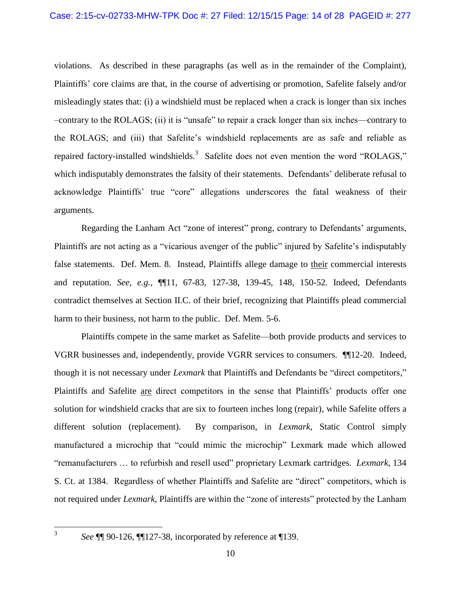violations. As described in these paragraphs (as well as in the remainder of the Complaint), Plaintiffs' core claims are that, in the course of advertising or promotion, Safelite falsely and/or misleadingly states that: (i) a windshield must be replaced when a crack is longer than six inches –contrary to the ROLAGS; (ii) it is "unsafe" to repair a crack longer than six inches—contrary to the ROLAGS; and (iii) that Safelite's windshield replacements are as safe and reliable as repaired factory-installed windshields.<sup>3</sup> Safelite does not even mention the word "ROLAGS," which indisputably demonstrates the falsity of their statements. Defendants' deliberate refusal to acknowledge Plaintiffs' true "core" allegations underscores the fatal weakness of their arguments.

Regarding the Lanham Act "zone of interest" prong, contrary to Defendants' arguments, Plaintiffs are not acting as a "vicarious avenger of the public" injured by Safelite's indisputably false statements. Def. Mem. 8. Instead, Plaintiffs allege damage to their commercial interests and reputation. *See, e.g.,* ¶¶11, 67-83, 127-38, 139-45, 148, 150-52. Indeed, Defendants contradict themselves at Section II.C. of their brief, recognizing that Plaintiffs plead commercial harm to their business, not harm to the public. Def. Mem. 5-6.

Plaintiffs compete in the same market as Safelite—both provide products and services to VGRR businesses and, independently, provide VGRR services to consumers. ¶¶12-20. Indeed, though it is not necessary under *Lexmark* that Plaintiffs and Defendants be "direct competitors," Plaintiffs and Safelite are direct competitors in the sense that Plaintiffs' products offer one solution for windshield cracks that are six to fourteen inches long (repair), while Safelite offers a different solution (replacement). By comparison, in *Lexmark*, Static Control simply manufactured a microchip that "could mimic the microchip" Lexmark made which allowed "remanufacturers … to refurbish and resell used" proprietary Lexmark cartridges. *Lexmark*, 134 S. Ct. at 1384. Regardless of whether Plaintiffs and Safelite are "direct" competitors, which is not required under *Lexmark*, Plaintiffs are within the "zone of interests" protected by the Lanham

 $\frac{1}{3}$ 

*See* ¶¶ 90-126, ¶¶127-38, incorporated by reference at ¶139.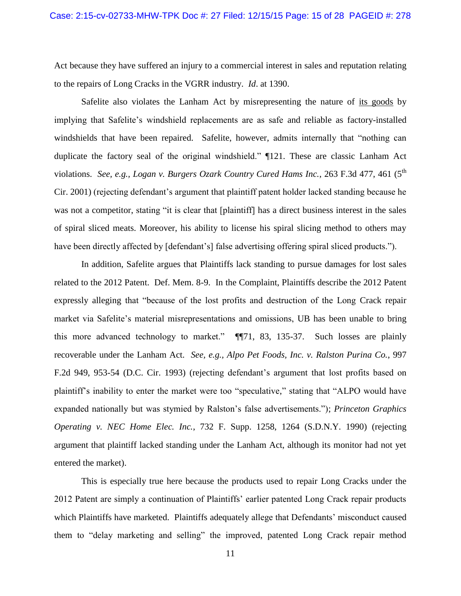Act because they have suffered an injury to a commercial interest in sales and reputation relating to the repairs of Long Cracks in the VGRR industry. *Id*. at 1390.

Safelite also violates the Lanham Act by misrepresenting the nature of its goods by implying that Safelite's windshield replacements are as safe and reliable as factory-installed windshields that have been repaired. Safelite, however, admits internally that "nothing can duplicate the factory seal of the original windshield." ¶121. These are classic Lanham Act violations. *See, e.g., Logan v. Burgers Ozark Country Cured Hams Inc.*, 263 F.3d 477, 461 (5<sup>th</sup> Cir. 2001) (rejecting defendant's argument that plaintiff patent holder lacked standing because he was not a competitor, stating "it is clear that [plaintiff] has a direct business interest in the sales of spiral sliced meats. Moreover, his ability to license his spiral slicing method to others may have been directly affected by [defendant's] false advertising offering spiral sliced products.").

In addition, Safelite argues that Plaintiffs lack standing to pursue damages for lost sales related to the 2012 Patent. Def. Mem. 8-9. In the Complaint, Plaintiffs describe the 2012 Patent expressly alleging that "because of the lost profits and destruction of the Long Crack repair market via Safelite's material misrepresentations and omissions, UB has been unable to bring this more advanced technology to market." ¶¶71, 83, 135-37. Such losses are plainly recoverable under the Lanham Act. *See, e.g., Alpo Pet Foods, Inc. v. Ralston Purina Co.*, 997 F.2d 949, 953-54 (D.C. Cir. 1993) (rejecting defendant's argument that lost profits based on plaintiff's inability to enter the market were too "speculative," stating that "ALPO would have expanded nationally but was stymied by Ralston's false advertisements."); *Princeton Graphics Operating v. NEC Home Elec. Inc.*, 732 F. Supp. 1258, 1264 (S.D.N.Y. 1990) (rejecting argument that plaintiff lacked standing under the Lanham Act, although its monitor had not yet entered the market).

This is especially true here because the products used to repair Long Cracks under the 2012 Patent are simply a continuation of Plaintiffs' earlier patented Long Crack repair products which Plaintiffs have marketed. Plaintiffs adequately allege that Defendants' misconduct caused them to "delay marketing and selling" the improved, patented Long Crack repair method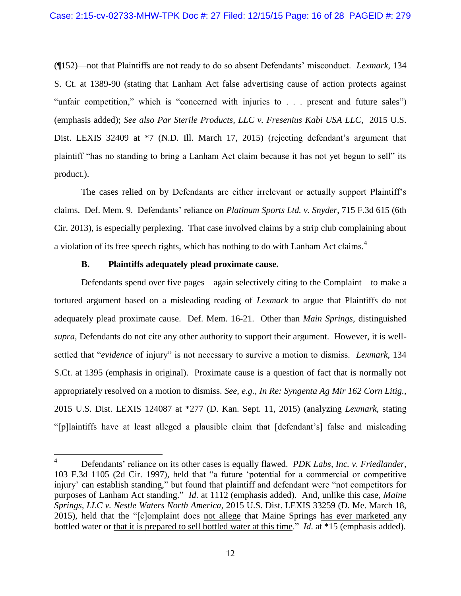(¶152)—not that Plaintiffs are not ready to do so absent Defendants' misconduct. *Lexmark*, 134 S. Ct. at 1389-90 (stating that Lanham Act false advertising cause of action protects against "unfair competition," which is "concerned with injuries to . . . present and future sales") (emphasis added); *See also Par Sterile Products, LLC v. Fresenius Kabi USA LLC*, 2015 U.S. Dist. LEXIS 32409 at  $*7$  (N.D. Ill. March 17, 2015) (rejecting defendant's argument that plaintiff "has no standing to bring a Lanham Act claim because it has not yet begun to sell" its product.).

The cases relied on by Defendants are either irrelevant or actually support Plaintiff's claims. Def. Mem. 9. Defendants' reliance on *Platinum Sports Ltd. v. Snyder*, 715 F.3d 615 (6th Cir. 2013), is especially perplexing. That case involved claims by a strip club complaining about a violation of its free speech rights, which has nothing to do with Lanham Act claims.<sup>4</sup>

#### **B. Plaintiffs adequately plead proximate cause.**

<span id="page-15-0"></span>Defendants spend over five pages—again selectively citing to the Complaint—to make a tortured argument based on a misleading reading of *Lexmark* to argue that Plaintiffs do not adequately plead proximate cause. Def. Mem. 16-21. Other than *Main Springs*, distinguished *supra*, Defendants do not cite any other authority to support their argument. However, it is wellsettled that "*evidence* of injury" is not necessary to survive a motion to dismiss. *Lexmark*, 134 S.Ct. at 1395 (emphasis in original). Proximate cause is a question of fact that is normally not appropriately resolved on a motion to dismiss. *See, e.g., In Re: Syngenta Ag Mir 162 Corn Litig.*, 2015 U.S. Dist. LEXIS 124087 at \*277 (D. Kan. Sept. 11, 2015) (analyzing *Lexmark*, stating "[p]laintiffs have at least alleged a plausible claim that [defendant's] false and misleading

 $\overline{4}$ <sup>4</sup> Defendants' reliance on its other cases is equally flawed. *PDK Labs, Inc. v. Friedlander,*  103 F.3d 1105 (2d Cir. 1997), held that "a future 'potential for a commercial or competitive injury' can establish standing," but found that plaintiff and defendant were "not competitors for purposes of Lanham Act standing." *Id*. at 1112 (emphasis added). And, unlike this case, *Maine Springs, LLC v. Nestle Waters North America*, 2015 U.S. Dist. LEXIS 33259 (D. Me. March 18, 2015), held that the "[c]omplaint does not allege that Maine Springs has ever marketed any bottled water or that it is prepared to sell bottled water at this time." *Id*. at \*15 (emphasis added).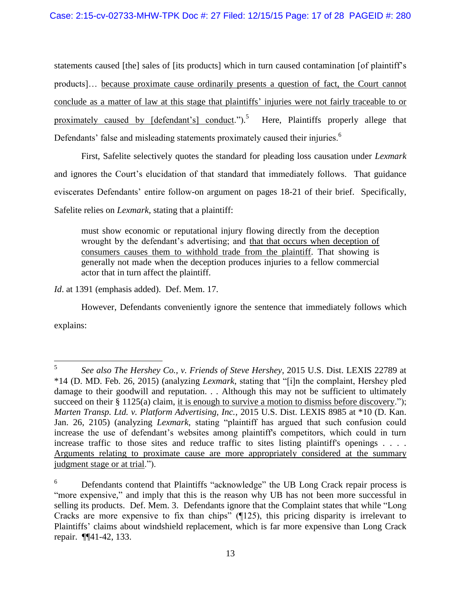statements caused [the] sales of [its products] which in turn caused contamination [of plaintiff's products]… because proximate cause ordinarily presents a question of fact, the Court cannot conclude as a matter of law at this stage that plaintiffs' injuries were not fairly traceable to or proximately caused by [defendant's] conduct.").<sup>5</sup> Here, Plaintiffs properly allege that Defendants' false and misleading statements proximately caused their injuries.<sup>6</sup>

First, Safelite selectively quotes the standard for pleading loss causation under *Lexmark* and ignores the Court's elucidation of that standard that immediately follows. That guidance eviscerates Defendants' entire follow-on argument on pages 18-21 of their brief. Specifically, Safelite relies on *Lexmark,* stating that a plaintiff:

must show economic or reputational injury flowing directly from the deception wrought by the defendant's advertising; and that that occurs when deception of consumers causes them to withhold trade from the plaintiff. That showing is generally not made when the deception produces injuries to a fellow commercial actor that in turn affect the plaintiff.

*Id*. at 1391 (emphasis added). Def. Mem. 17.

However, Defendants conveniently ignore the sentence that immediately follows which explains:

 5 *See also The Hershey Co., v. Friends of Steve Hershey*, 2015 U.S. Dist. LEXIS 22789 at \*14 (D. MD. Feb. 26, 2015) (analyzing *Lexmark*, stating that "[i]n the complaint, Hershey pled damage to their goodwill and reputation. . . Although this may not be sufficient to ultimately succeed on their § 1125(a) claim, it is enough to survive a motion to dismiss before discovery."); *Marten Transp. Ltd. v. Platform Advertising, Inc.*, 2015 U.S. Dist. LEXIS 8985 at \*10 (D. Kan. Jan. 26, 2105) (analyzing *Lexmark*, stating "plaintiff has argued that such confusion could increase the use of defendant's websites among plaintiff's competitors, which could in turn increase traffic to those sites and reduce traffic to sites listing plaintiff's openings . . . . Arguments relating to proximate cause are more appropriately considered at the summary judgment stage or at trial.").

<sup>&</sup>lt;sup>6</sup> Defendants contend that Plaintiffs "acknowledge" the UB Long Crack repair process is "more expensive," and imply that this is the reason why UB has not been more successful in selling its products. Def. Mem. 3. Defendants ignore that the Complaint states that while "Long Cracks are more expensive to fix than chips" (¶125), this pricing disparity is irrelevant to Plaintiffs' claims about windshield replacement, which is far more expensive than Long Crack repair. ¶¶41-42, 133.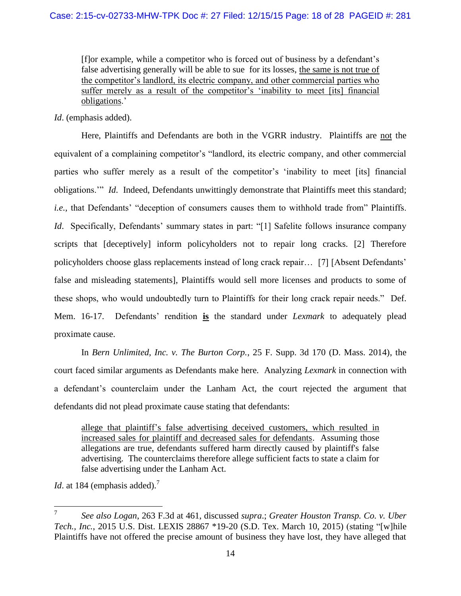[f]or example, while a competitor who is forced out of business by a defendant's false advertising generally will be able to sue for its losses, the same is not true of the competitor's landlord, its electric company, and other commercial parties who suffer merely as a result of the competitor's 'inability to meet [its] financial obligations.'

*Id*. (emphasis added).

Here, Plaintiffs and Defendants are both in the VGRR industry. Plaintiffs are not the equivalent of a complaining competitor's "landlord, its electric company, and other commercial parties who suffer merely as a result of the competitor's 'inability to meet [its] financial obligations.'" *Id*. Indeed, Defendants unwittingly demonstrate that Plaintiffs meet this standard; *i.e.,* that Defendants' "deception of consumers causes them to withhold trade from" Plaintiffs. *Id.* Specifically, Defendants' summary states in part: "[1] Safelite follows insurance company scripts that [deceptively] inform policyholders not to repair long cracks. [2] Therefore policyholders choose glass replacements instead of long crack repair… [7] [Absent Defendants' false and misleading statements], Plaintiffs would sell more licenses and products to some of these shops, who would undoubtedly turn to Plaintiffs for their long crack repair needs." Def. Mem. 16-17. Defendants' rendition **is** the standard under *Lexmark* to adequately plead proximate cause.

In *Bern Unlimited, Inc. v. The Burton Corp.*, 25 F. Supp. 3d 170 (D. Mass. 2014), the court faced similar arguments as Defendants make here. Analyzing *Lexmark* in connection with a defendant's counterclaim under the Lanham Act, the court rejected the argument that defendants did not plead proximate cause stating that defendants:

allege that plaintiff's false advertising deceived customers, which resulted in increased sales for plaintiff and decreased sales for defendants. Assuming those allegations are true, defendants suffered harm directly caused by plaintiff's false advertising. The counterclaims therefore allege sufficient facts to state a claim for false advertising under the Lanham Act.

*Id.* at 184 (emphasis added).<sup>7</sup>

 7 *See also Logan*, 263 F.3d at 461, discussed *supra*.; *Greater Houston Transp. Co. v. Uber Tech., Inc.*, 2015 U.S. Dist. LEXIS 28867 \*19-20 (S.D. Tex. March 10, 2015) (stating "[w]hile Plaintiffs have not offered the precise amount of business they have lost, they have alleged that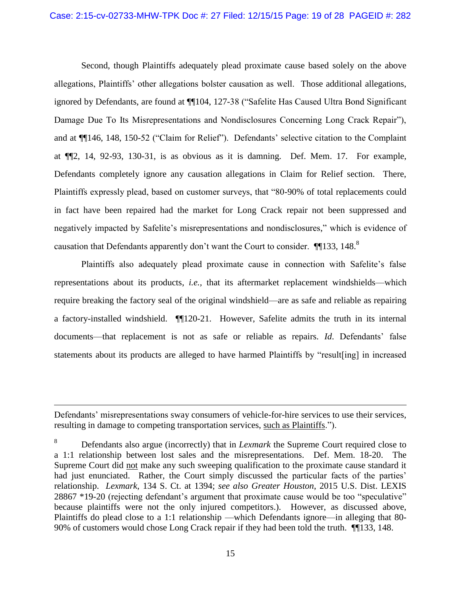Second, though Plaintiffs adequately plead proximate cause based solely on the above allegations, Plaintiffs' other allegations bolster causation as well. Those additional allegations, ignored by Defendants, are found at ¶¶104, 127-38 ("Safelite Has Caused Ultra Bond Significant Damage Due To Its Misrepresentations and Nondisclosures Concerning Long Crack Repair"), and at ¶¶146, 148, 150-52 ("Claim for Relief"). Defendants' selective citation to the Complaint at ¶¶2, 14, 92-93, 130-31, is as obvious as it is damning. Def. Mem. 17. For example, Defendants completely ignore any causation allegations in Claim for Relief section. There, Plaintiffs expressly plead, based on customer surveys, that "80-90% of total replacements could in fact have been repaired had the market for Long Crack repair not been suppressed and negatively impacted by Safelite's misrepresentations and nondisclosures," which is evidence of causation that Defendants apparently don't want the Court to consider. ¶¶133, 148.<sup>8</sup>

Plaintiffs also adequately plead proximate cause in connection with Safelite's false representations about its products, *i.e.,* that its aftermarket replacement windshields—which require breaking the factory seal of the original windshield—are as safe and reliable as repairing a factory-installed windshield. ¶¶120-21. However, Safelite admits the truth in its internal documents—that replacement is not as safe or reliable as repairs. *Id*. Defendants' false statements about its products are alleged to have harmed Plaintiffs by "result[ing] in increased

 $\overline{a}$ 

Defendants' misrepresentations sway consumers of vehicle-for-hire services to use their services, resulting in damage to competing transportation services, such as Plaintiffs.").

<sup>8</sup> Defendants also argue (incorrectly) that in *Lexmark* the Supreme Court required close to a 1:1 relationship between lost sales and the misrepresentations. Def. Mem. 18-20. The Supreme Court did not make any such sweeping qualification to the proximate cause standard it had just enunciated. Rather, the Court simply discussed the particular facts of the parties' relationship. *Lexmark*, 134 S. Ct. at 1394; *see also Greater Houston*, 2015 U.S. Dist. LEXIS 28867 \*19-20 (rejecting defendant's argument that proximate cause would be too "speculative" because plaintiffs were not the only injured competitors.). However, as discussed above, Plaintiffs do plead close to a 1:1 relationship —which Defendants ignore—in alleging that 80- 90% of customers would chose Long Crack repair if they had been told the truth. ¶¶133, 148.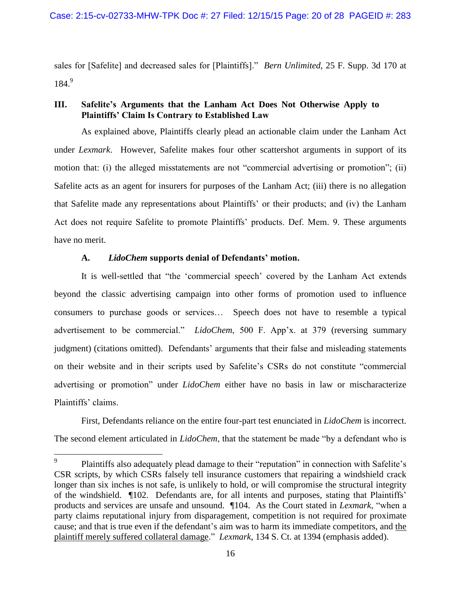sales for [Safelite] and decreased sales for [Plaintiffs]." *Bern Unlimited*, 25 F. Supp. 3d 170 at 184. 9

## <span id="page-19-0"></span>**III. Safelite's Arguments that the Lanham Act Does Not Otherwise Apply to Plaintiffs' Claim Is Contrary to Established Law**

As explained above, Plaintiffs clearly plead an actionable claim under the Lanham Act under *Lexmark*. However, Safelite makes four other scattershot arguments in support of its motion that: (i) the alleged misstatements are not "commercial advertising or promotion"; (ii) Safelite acts as an agent for insurers for purposes of the Lanham Act; (iii) there is no allegation that Safelite made any representations about Plaintiffs' or their products; and (iv) the Lanham Act does not require Safelite to promote Plaintiffs' products. Def. Mem. 9. These arguments have no merit.

## **A.** *LidoChem* **supports denial of Defendants' motion.**

<span id="page-19-1"></span>It is well-settled that "the 'commercial speech' covered by the Lanham Act extends beyond the classic advertising campaign into other forms of promotion used to influence consumers to purchase goods or services… Speech does not have to resemble a typical advertisement to be commercial." *LidoChem*, 500 F. App'x. at 379 (reversing summary judgment) (citations omitted). Defendants' arguments that their false and misleading statements on their website and in their scripts used by Safelite's CSRs do not constitute "commercial advertising or promotion" under *LidoChem* either have no basis in law or mischaracterize Plaintiffs' claims.

First, Defendants reliance on the entire four-part test enunciated in *LidoChem* is incorrect. The second element articulated in *LidoChem*, that the statement be made "by a defendant who is

<sup>—&</sup>lt;br>9 Plaintiffs also adequately plead damage to their "reputation" in connection with Safelite's CSR scripts, by which CSRs falsely tell insurance customers that repairing a windshield crack longer than six inches is not safe, is unlikely to hold, or will compromise the structural integrity of the windshield. ¶102. Defendants are, for all intents and purposes, stating that Plaintiffs' products and services are unsafe and unsound. ¶104. As the Court stated in *Lexmark*, "when a party claims reputational injury from disparagement, competition is not required for proximate cause; and that is true even if the defendant's aim was to harm its immediate competitors, and the plaintiff merely suffered collateral damage." *Lexmark*, 134 S. Ct. at 1394 (emphasis added).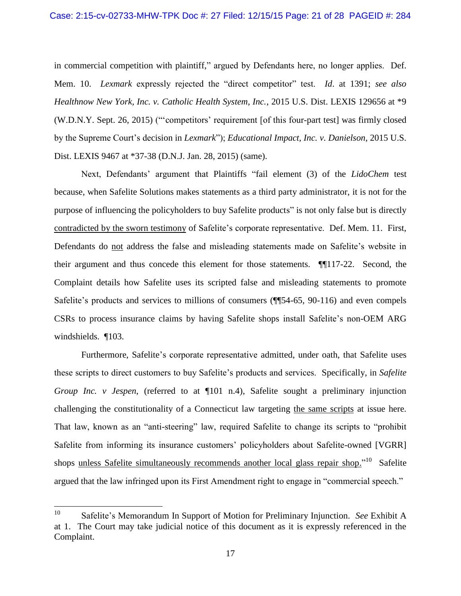in commercial competition with plaintiff," argued by Defendants here, no longer applies. Def. Mem. 10. *Lexmark* expressly rejected the "direct competitor" test. *Id*. at 1391; *see also Healthnow New York, Inc. v. Catholic Health System, Inc.*, 2015 U.S. Dist. LEXIS 129656 at \*9 (W.D.N.Y. Sept. 26, 2015) ("'competitors' requirement [of this four-part test] was firmly closed by the Supreme Court's decision in *Lexmark*"); *Educational Impact, Inc. v. Danielson*, 2015 U.S. Dist. LEXIS 9467 at \*37-38 (D.N.J. Jan. 28, 2015) (same).

Next, Defendants' argument that Plaintiffs "fail element (3) of the *LidoChem* test because, when Safelite Solutions makes statements as a third party administrator, it is not for the purpose of influencing the policyholders to buy Safelite products" is not only false but is directly contradicted by the sworn testimony of Safelite's corporate representative. Def. Mem. 11. First, Defendants do not address the false and misleading statements made on Safelite's website in their argument and thus concede this element for those statements. ¶¶117-22. Second, the Complaint details how Safelite uses its scripted false and misleading statements to promote Safelite's products and services to millions of consumers (¶¶54-65, 90-116) and even compels CSRs to process insurance claims by having Safelite shops install Safelite's non-OEM ARG windshields. ¶103.

Furthermore, Safelite's corporate representative admitted, under oath, that Safelite uses these scripts to direct customers to buy Safelite's products and services. Specifically, in *Safelite Group Inc. v Jespen,* (referred to at  $\P$ 101 n.4), Safelite sought a preliminary injunction challenging the constitutionality of a Connecticut law targeting the same scripts at issue here. That law, known as an "anti-steering" law, required Safelite to change its scripts to "prohibit Safelite from informing its insurance customers' policyholders about Safelite-owned [VGRR] shops unless Safelite simultaneously recommends another local glass repair shop."<sup>10</sup> Safelite argued that the law infringed upon its First Amendment right to engage in "commercial speech."

 $10<sup>10</sup>$ <sup>10</sup> Safelite's Memorandum In Support of Motion for Preliminary Injunction. *See* Exhibit A at 1. The Court may take judicial notice of this document as it is expressly referenced in the Complaint.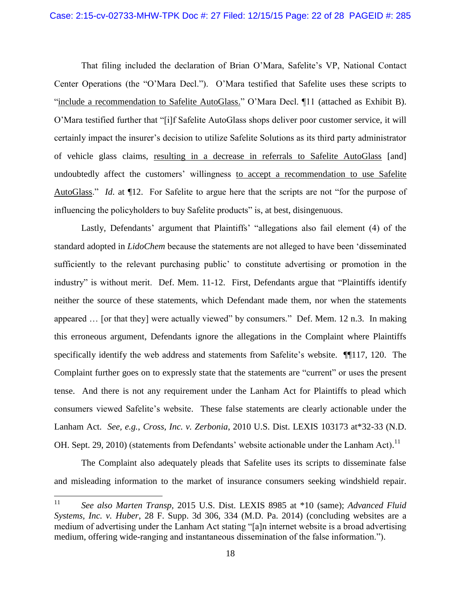That filing included the declaration of Brian O'Mara, Safelite's VP, National Contact Center Operations (the "O'Mara Decl."). O'Mara testified that Safelite uses these scripts to "include a recommendation to Safelite AutoGlass." O'Mara Decl. ¶11 (attached as Exhibit B). O'Mara testified further that "[i]f Safelite AutoGlass shops deliver poor customer service, it will certainly impact the insurer's decision to utilize Safelite Solutions as its third party administrator of vehicle glass claims, resulting in a decrease in referrals to Safelite AutoGlass [and] undoubtedly affect the customers' willingness to accept a recommendation to use Safelite AutoGlass." *Id*. at ¶12. For Safelite to argue here that the scripts are not "for the purpose of influencing the policyholders to buy Safelite products" is, at best, disingenuous.

Lastly, Defendants' argument that Plaintiffs' "allegations also fail element (4) of the standard adopted in *LidoChem* because the statements are not alleged to have been 'disseminated sufficiently to the relevant purchasing public' to constitute advertising or promotion in the industry" is without merit. Def. Mem. 11-12. First, Defendants argue that "Plaintiffs identify neither the source of these statements, which Defendant made them, nor when the statements appeared … [or that they] were actually viewed" by consumers." Def. Mem. 12 n.3. In making this erroneous argument, Defendants ignore the allegations in the Complaint where Plaintiffs specifically identify the web address and statements from Safelite's website. ¶¶117, 120. The Complaint further goes on to expressly state that the statements are "current" or uses the present tense. And there is not any requirement under the Lanham Act for Plaintiffs to plead which consumers viewed Safelite's website. These false statements are clearly actionable under the Lanham Act. *See, e.g.*, *Cross, Inc. v. Zerbonia*, 2010 U.S. Dist. LEXIS 103173 at\*32-33 (N.D. OH. Sept. 29, 2010) (statements from Defendants' website actionable under the Lanham Act).<sup>11</sup>

The Complaint also adequately pleads that Safelite uses its scripts to disseminate false and misleading information to the market of insurance consumers seeking windshield repair.

<sup>11</sup> <sup>11</sup> *See also Marten Transp,* 2015 U.S. Dist. LEXIS 8985 at \*10 (same); *Advanced Fluid Systems, Inc. v. Huber*, 28 F. Supp. 3d 306, 334 (M.D. Pa. 2014) (concluding websites are a medium of advertising under the Lanham Act stating "[a]n internet website is a broad advertising medium, offering wide-ranging and instantaneous dissemination of the false information.").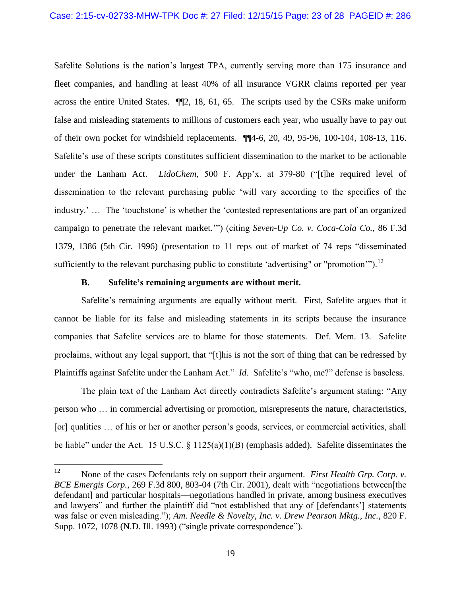Safelite Solutions is the nation's largest TPA, currently serving more than 175 insurance and fleet companies, and handling at least 40% of all insurance VGRR claims reported per year across the entire United States. ¶¶2, 18, 61, 65. The scripts used by the CSRs make uniform false and misleading statements to millions of customers each year, who usually have to pay out of their own pocket for windshield replacements. ¶¶4-6, 20, 49, 95-96, 100-104, 108-13, 116. Safelite's use of these scripts constitutes sufficient dissemination to the market to be actionable under the Lanham Act. *LidoChem*, 500 F. App'x. at 379-80 ("[t]he required level of dissemination to the relevant purchasing public 'will vary according to the specifics of the industry.' … The 'touchstone' is whether the 'contested representations are part of an organized campaign to penetrate the relevant market.'") (citing *Seven-Up Co. v. Coca-Cola Co.*, 86 F.3d 1379, 1386 (5th Cir. 1996) (presentation to 11 reps out of market of 74 reps "disseminated sufficiently to the relevant purchasing public to constitute 'advertising" or "promotion"").<sup>12</sup>

#### **B. Safelite's remaining arguments are without merit.**

<span id="page-22-0"></span>Safelite's remaining arguments are equally without merit. First, Safelite argues that it cannot be liable for its false and misleading statements in its scripts because the insurance companies that Safelite services are to blame for those statements. Def. Mem. 13. Safelite proclaims, without any legal support, that "[t]his is not the sort of thing that can be redressed by Plaintiffs against Safelite under the Lanham Act." *Id*. Safelite's "who, me?" defense is baseless.

The plain text of the Lanham Act directly contradicts Safelite's argument stating: "Any person who … in commercial advertising or promotion, misrepresents the nature, characteristics, [or] qualities ... of his or her or another person's goods, services, or commercial activities, shall be liable" under the Act. 15 U.S.C. § 1125(a)(1)(B) (emphasis added). Safelite disseminates the

 $12$ None of the cases Defendants rely on support their argument. *First Health Grp. Corp. v. BCE Emergis Corp.*, 269 F.3d 800, 803-04 (7th Cir. 2001), dealt with "negotiations between[the defendant] and particular hospitals—negotiations handled in private, among business executives and lawyers" and further the plaintiff did "not established that any of [defendants'] statements was false or even misleading."); *Am. Needle & Novelty, Inc. v. Drew Pearson Mktg., Inc.*, 820 F. Supp. 1072, 1078 (N.D. Ill. 1993) ("single private correspondence").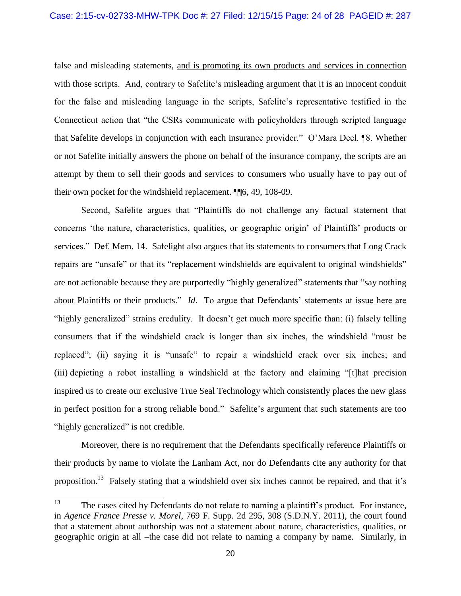false and misleading statements, and is promoting its own products and services in connection with those scripts. And, contrary to Safelite's misleading argument that it is an innocent conduit for the false and misleading language in the scripts, Safelite's representative testified in the Connecticut action that "the CSRs communicate with policyholders through scripted language that Safelite develops in conjunction with each insurance provider." O'Mara Decl. ¶8. Whether or not Safelite initially answers the phone on behalf of the insurance company, the scripts are an attempt by them to sell their goods and services to consumers who usually have to pay out of their own pocket for the windshield replacement. ¶¶6, 49, 108-09.

Second, Safelite argues that "Plaintiffs do not challenge any factual statement that concerns 'the nature, characteristics, qualities, or geographic origin' of Plaintiffs' products or services." Def. Mem. 14. Safelight also argues that its statements to consumers that Long Crack repairs are "unsafe" or that its "replacement windshields are equivalent to original windshields" are not actionable because they are purportedly "highly generalized" statements that "say nothing about Plaintiffs or their products." *Id*. To argue that Defendants' statements at issue here are "highly generalized" strains credulity. It doesn't get much more specific than: (i) falsely telling consumers that if the windshield crack is longer than six inches, the windshield "must be replaced"; (ii) saying it is "unsafe" to repair a windshield crack over six inches; and (iii) depicting a robot installing a windshield at the factory and claiming "[t]hat precision inspired us to create our exclusive True Seal Technology which consistently places the new glass in perfect position for a strong reliable bond." Safelite's argument that such statements are too "highly generalized" is not credible.

Moreover, there is no requirement that the Defendants specifically reference Plaintiffs or their products by name to violate the Lanham Act, nor do Defendants cite any authority for that proposition.<sup>13</sup> Falsely stating that a windshield over six inches cannot be repaired, and that it's

<sup>13</sup> The cases cited by Defendants do not relate to naming a plaintiff's product. For instance, in *Agence France Presse v. Morel*, 769 F. Supp. 2d 295, 308 (S.D.N.Y. 2011), the court found that a statement about authorship was not a statement about nature, characteristics, qualities, or geographic origin at all –the case did not relate to naming a company by name. Similarly, in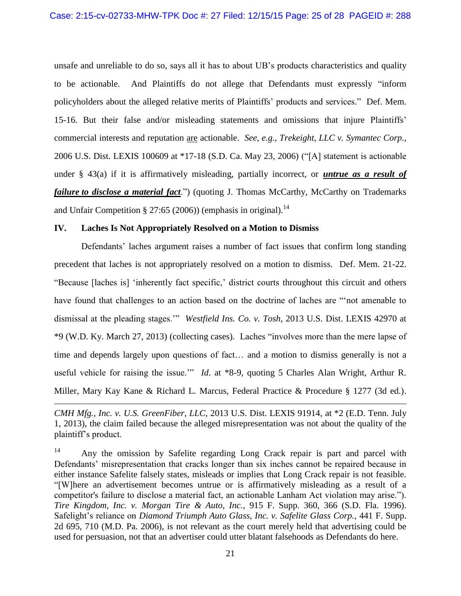unsafe and unreliable to do so, says all it has to about UB's products characteristics and quality to be actionable. And Plaintiffs do not allege that Defendants must expressly "inform policyholders about the alleged relative merits of Plaintiffs' products and services." Def. Mem. 15-16. But their false and/or misleading statements and omissions that injure Plaintiffs' commercial interests and reputation are actionable. *See, e.g., Trekeight, LLC v. Symantec Corp.*, 2006 U.S. Dist. LEXIS 100609 at \*17-18 (S.D. Ca. May 23, 2006) ("[A] statement is actionable under § 43(a) if it is affirmatively misleading, partially incorrect, or *untrue as a result of failure to disclose a material fact*.") (quoting J. Thomas McCarthy, McCarthy on Trademarks and Unfair Competition § 27:65 (2006)) (emphasis in original).<sup>14</sup>

#### <span id="page-24-0"></span>**IV. Laches Is Not Appropriately Resolved on a Motion to Dismiss**

 $\overline{a}$ 

Defendants' laches argument raises a number of fact issues that confirm long standing precedent that laches is not appropriately resolved on a motion to dismiss. Def. Mem. 21-22. "Because [laches is] 'inherently fact specific,' district courts throughout this circuit and others have found that challenges to an action based on the doctrine of laches are "'not amenable to dismissal at the pleading stages.'" *Westfield Ins. Co. v. Tosh*, 2013 U.S. Dist. LEXIS 42970 at \*9 (W.D. Ky. March 27, 2013) (collecting cases). Laches "involves more than the mere lapse of time and depends largely upon questions of fact… and a motion to dismiss generally is not a useful vehicle for raising the issue.'" *Id*. at \*8-9, quoting 5 Charles Alan Wright, Arthur R. Miller, Mary Kay Kane & Richard L. Marcus, Federal Practice & Procedure § 1277 (3d ed.).

*CMH Mfg., Inc. v. U.S. GreenFiber*, *LLC*, 2013 U.S. Dist. LEXIS 91914, at \*2 (E.D. Tenn. July 1, 2013), the claim failed because the alleged misrepresentation was not about the quality of the plaintiff's product.

<sup>&</sup>lt;sup>14</sup> Any the omission by Safelite regarding Long Crack repair is part and parcel with Defendants' misrepresentation that cracks longer than six inches cannot be repaired because in either instance Safelite falsely states, misleads or implies that Long Crack repair is not feasible. "[W]here an advertisement becomes untrue or is affirmatively misleading as a result of a competitor's failure to disclose a material fact, an actionable Lanham Act violation may arise."). *Tire Kingdom, Inc. v. Morgan Tire & Auto, Inc.*, 915 F. Supp. 360, 366 (S.D. Fla. 1996). Safelight's reliance on *Diamond Triumph Auto Glass, Inc. v. Safelite Glass Corp.*, 441 F. Supp. 2d 695, 710 (M.D. Pa. 2006), is not relevant as the court merely held that advertising could be used for persuasion, not that an advertiser could utter blatant falsehoods as Defendants do here.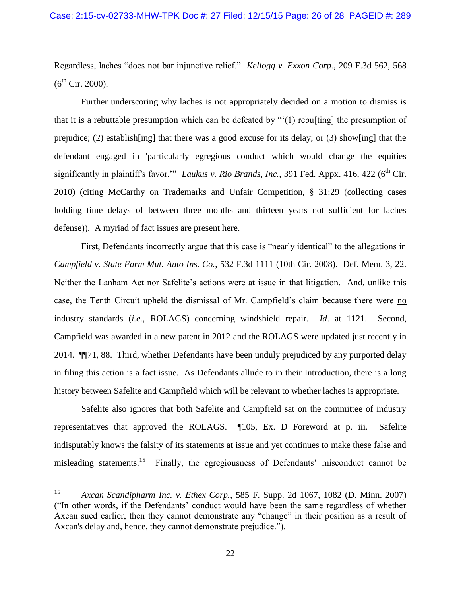Regardless, laches "does not bar injunctive relief." *Kellogg v. Exxon Corp.*, 209 F.3d 562, 568  $(6^{th}$  Cir. 2000).

Further underscoring why laches is not appropriately decided on a motion to dismiss is that it is a rebuttable presumption which can be defeated by "'(1) rebu[ting] the presumption of prejudice; (2) establish[ing] that there was a good excuse for its delay; or (3) show[ing] that the defendant engaged in 'particularly egregious conduct which would change the equities significantly in plaintiff's favor." *Laukus v. Rio Brands, Inc.*, 391 Fed. Appx. 416, 422 (6<sup>th</sup> Cir. 2010) (citing McCarthy on Trademarks and Unfair Competition, § 31:29 (collecting cases holding time delays of between three months and thirteen years not sufficient for laches defense)). A myriad of fact issues are present here.

First, Defendants incorrectly argue that this case is "nearly identical" to the allegations in *Campfield v. State Farm Mut. Auto Ins. Co.*, 532 F.3d 1111 (10th Cir. 2008). Def. Mem. 3, 22. Neither the Lanham Act nor Safelite's actions were at issue in that litigation. And, unlike this case, the Tenth Circuit upheld the dismissal of Mr. Campfield's claim because there were no industry standards (*i.e.,* ROLAGS) concerning windshield repair. *Id*. at 1121. Second, Campfield was awarded in a new patent in 2012 and the ROLAGS were updated just recently in 2014. ¶¶71, 88. Third, whether Defendants have been unduly prejudiced by any purported delay in filing this action is a fact issue. As Defendants allude to in their Introduction, there is a long history between Safelite and Campfield which will be relevant to whether laches is appropriate.

Safelite also ignores that both Safelite and Campfield sat on the committee of industry representatives that approved the ROLAGS. ¶105, Ex. D Foreword at p. iii. Safelite indisputably knows the falsity of its statements at issue and yet continues to make these false and misleading statements.<sup>15</sup> Finally, the egregiousness of Defendants' misconduct cannot be

<sup>15</sup> <sup>15</sup> *Axcan Scandipharm Inc. v. Ethex Corp.*, 585 F. Supp. 2d 1067, 1082 (D. Minn. 2007) ("In other words, if the Defendants' conduct would have been the same regardless of whether Axcan sued earlier, then they cannot demonstrate any "change" in their position as a result of Axcan's delay and, hence, they cannot demonstrate prejudice.").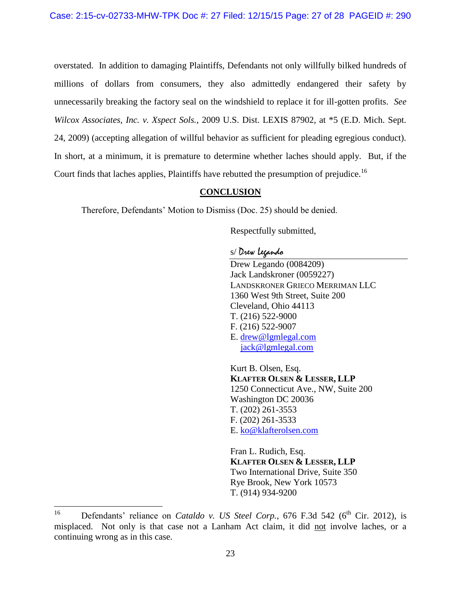overstated. In addition to damaging Plaintiffs, Defendants not only willfully bilked hundreds of millions of dollars from consumers, they also admittedly endangered their safety by unnecessarily breaking the factory seal on the windshield to replace it for ill-gotten profits. *See Wilcox Associates, Inc. v. Xspect Sols.*, 2009 U.S. Dist. LEXIS 87902, at \*5 (E.D. Mich. Sept. 24, 2009) (accepting allegation of willful behavior as sufficient for pleading egregious conduct). In short, at a minimum, it is premature to determine whether laches should apply. But, if the Court finds that laches applies, Plaintiffs have rebutted the presumption of prejudice.<sup>16</sup>

## **CONCLUSION**

<span id="page-26-0"></span>Therefore, Defendants' Motion to Dismiss (Doc. 25) should be denied.

Respectfully submitted,

## s/ Drew Legando

Drew Legando (0084209) Jack Landskroner (0059227) LANDSKRONER GRIECO MERRIMAN LLC 1360 West 9th Street, Suite 200 Cleveland, Ohio 44113 T. (216) 522-9000 F. (216) 522-9007 E. [drew@lgmlegal.com](mailto:drew@lgmlegal.com) [jack@lgmlegal.com](mailto:jack@lgmlegal.com)

Kurt B. Olsen, Esq. **KLAFTER OLSEN & LESSER, LLP** 1250 Connecticut Ave., NW, Suite 200 Washington DC 20036 T. (202) 261-3553 F. (202) 261-3533 E. [ko@klafterolsen.com](mailto:ko@klafterolsen.com)

Fran L. Rudich, Esq. **KLAFTER OLSEN & LESSER, LLP** Two International Drive, Suite 350 Rye Brook, New York 10573 T. (914) 934-9200

<sup>16</sup> Defendants' reliance on *Cataldo v. US Steel Corp.*, 676 F.3d 542 (6<sup>th</sup> Cir. 2012), is misplaced. Not only is that case not a Lanham Act claim, it did not involve laches, or a continuing wrong as in this case.